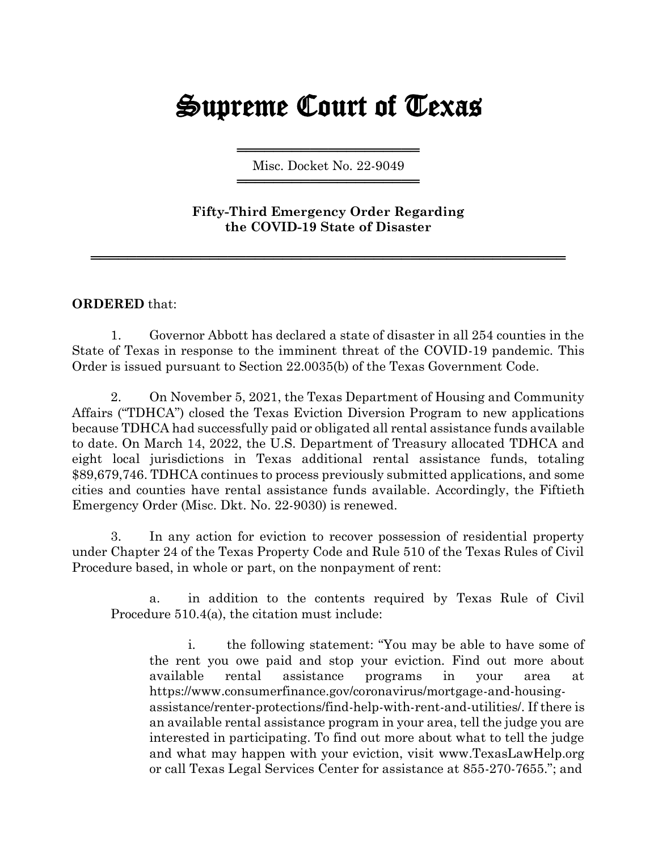## Supreme Court of Texas

════════════════════════════════════ Misc. Docket No. 22-9049 ════════════════════════════════════

**Fifty-Third Emergency Order Regarding the COVID-19 State of Disaster**

════════════════════════════════════════════════════

**ORDERED** that:

1. Governor Abbott has declared a state of disaster in all 254 counties in the State of Texas in response to the imminent threat of the COVID-19 pandemic. This Order is issued pursuant to Section 22.0035(b) of the Texas Government Code.

2. On November 5, 2021, the Texas Department of Housing and Community Affairs ("TDHCA") closed the Texas Eviction Diversion Program to new applications because TDHCA had successfully paid or obligated all rental assistance funds available to date. On March 14, 2022, the U.S. Department of Treasury allocated TDHCA and eight local jurisdictions in Texas additional rental assistance funds, totaling \$89,679,746. TDHCA continues to process previously submitted applications, and some cities and counties have rental assistance funds available. Accordingly, the Fiftieth Emergency Order (Misc. Dkt. No. 22-9030) is renewed.

3. In any action for eviction to recover possession of residential property under Chapter 24 of the Texas Property Code and Rule 510 of the Texas Rules of Civil Procedure based, in whole or part, on the nonpayment of rent:

a. in addition to the contents required by Texas Rule of Civil Procedure 510.4(a), the citation must include:

i. the following statement: "You may be able to have some of the rent you owe paid and stop your eviction. Find out more about available rental assistance programs in your area at https://www.consumerfinance.gov/coronavirus/mortgage-and-housingassistance/renter-protections/find-help-with-rent-and-utilities/. If there is an available rental assistance program in your area, tell the judge you are interested in participating. To find out more about what to tell the judge and what may happen with your eviction, visit [www.TexasLawHelp.org](http://www.texaslawhelp.org/) or call Texas Legal Services Center for assistance at 855-270-7655."; and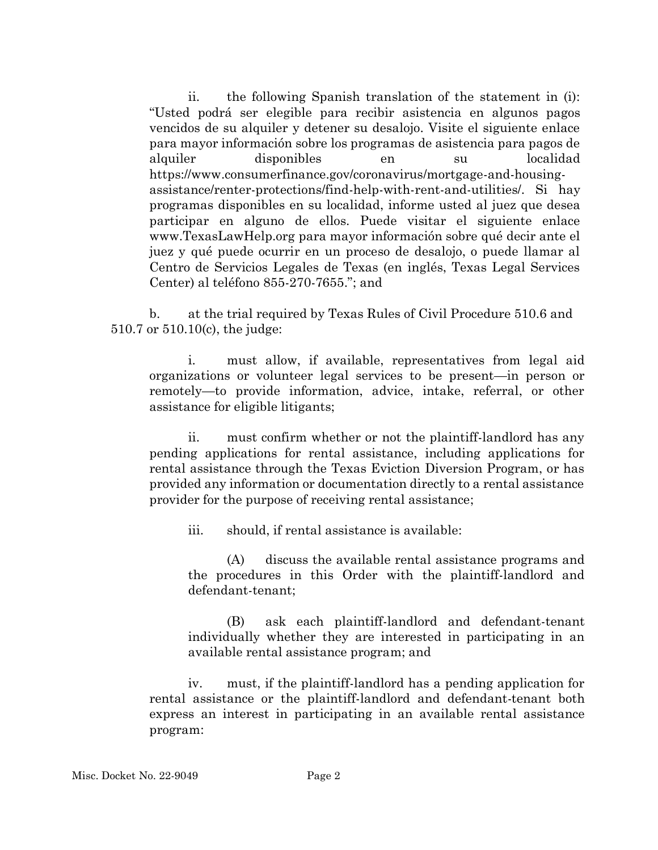ii. the following Spanish translation of the statement in (i): "Usted podrá ser elegible para recibir asistencia en algunos pagos vencidos de su alquiler y detener su desalojo. Visite el siguiente enlace para mayor información sobre los programas de asistencia para pagos de alquiler disponibles en su localidad https://www.consumerfinance.gov/coronavirus/mortgage-and-housingassistance/renter-protections/find-help-with-rent-and-utilities/. Si hay programas disponibles en su localidad, informe usted al juez que desea participar en alguno de ellos. Puede visitar el siguiente enlace www.TexasLawHelp.org para mayor información sobre qué decir ante el juez y qué puede ocurrir en un proceso de desalojo, o puede llamar al Centro de Servicios Legales de Texas (en inglés, Texas Legal Services Center) al teléfono 855-270-7655."; and

b. at the trial required by Texas Rules of Civil Procedure 510.6 and 510.7 or 510.10(c), the judge:

i. must allow, if available, representatives from legal aid organizations or volunteer legal services to be present—in person or remotely—to provide information, advice, intake, referral, or other assistance for eligible litigants;

ii. must confirm whether or not the plaintiff-landlord has any pending applications for rental assistance, including applications for rental assistance through the Texas Eviction Diversion Program, or has provided any information or documentation directly to a rental assistance provider for the purpose of receiving rental assistance;

iii. should, if rental assistance is available:

(A) discuss the available rental assistance programs and the procedures in this Order with the plaintiff-landlord and defendant-tenant;

(B) ask each plaintiff-landlord and defendant-tenant individually whether they are interested in participating in an available rental assistance program; and

iv. must, if the plaintiff-landlord has a pending application for rental assistance or the plaintiff-landlord and defendant-tenant both express an interest in participating in an available rental assistance program: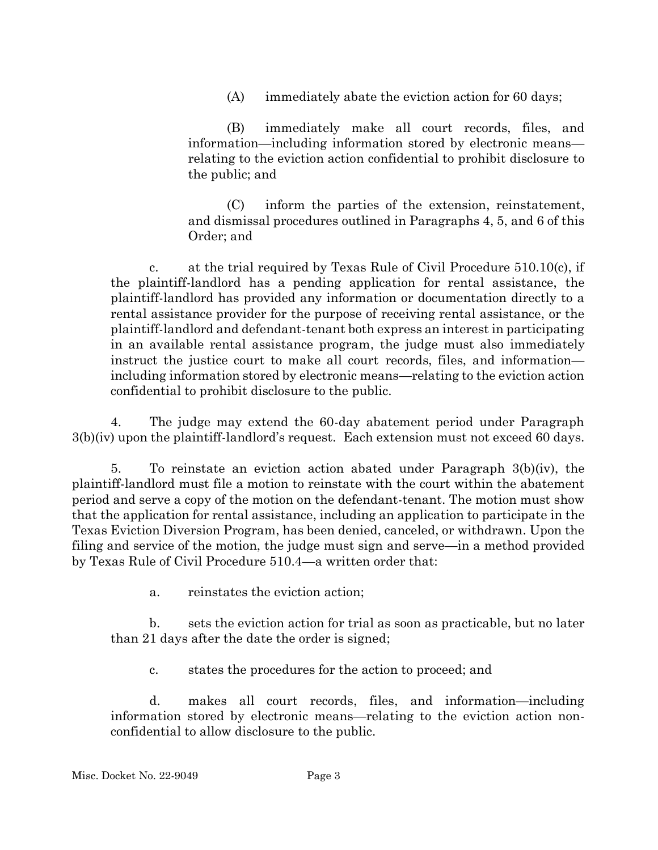(A) immediately abate the eviction action for 60 days;

(B) immediately make all court records, files, and information—including information stored by electronic means relating to the eviction action confidential to prohibit disclosure to the public; and

(C) inform the parties of the extension, reinstatement, and dismissal procedures outlined in Paragraphs 4, 5, and 6 of this Order; and

c. at the trial required by Texas Rule of Civil Procedure 510.10(c), if the plaintiff-landlord has a pending application for rental assistance, the plaintiff-landlord has provided any information or documentation directly to a rental assistance provider for the purpose of receiving rental assistance, or the plaintiff-landlord and defendant-tenant both express an interest in participating in an available rental assistance program, the judge must also immediately instruct the justice court to make all court records, files, and information including information stored by electronic means—relating to the eviction action confidential to prohibit disclosure to the public.

4. The judge may extend the 60-day abatement period under Paragraph 3(b)(iv) upon the plaintiff-landlord's request. Each extension must not exceed 60 days.

5. To reinstate an eviction action abated under Paragraph 3(b)(iv), the plaintiff-landlord must file a motion to reinstate with the court within the abatement period and serve a copy of the motion on the defendant-tenant. The motion must show that the application for rental assistance, including an application to participate in the Texas Eviction Diversion Program, has been denied, canceled, or withdrawn. Upon the filing and service of the motion, the judge must sign and serve—in a method provided by Texas Rule of Civil Procedure 510.4—a written order that:

a. reinstates the eviction action;

b. sets the eviction action for trial as soon as practicable, but no later than 21 days after the date the order is signed;

c. states the procedures for the action to proceed; and

d. makes all court records, files, and information—including information stored by electronic means—relating to the eviction action nonconfidential to allow disclosure to the public.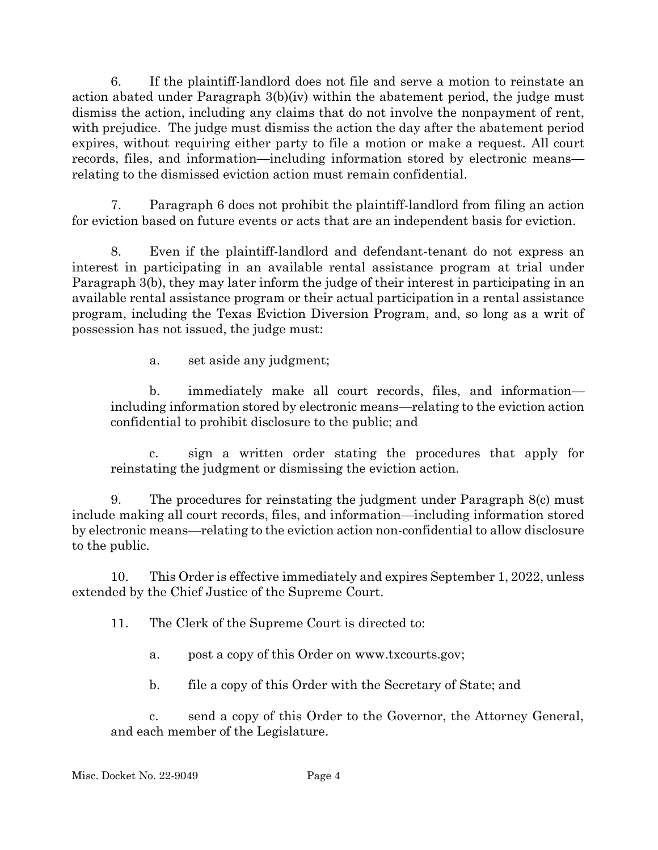6. If the plaintiff-landlord does not file and serve a motion to reinstate an action abated under Paragraph 3(b)(iv) within the abatement period, the judge must dismiss the action, including any claims that do not involve the nonpayment of rent, with prejudice. The judge must dismiss the action the day after the abatement period expires, without requiring either party to file a motion or make a request. All court records, files, and information—including information stored by electronic means relating to the dismissed eviction action must remain confidential.

7. Paragraph 6 does not prohibit the plaintiff-landlord from filing an action for eviction based on future events or acts that are an independent basis for eviction.

8. Even if the plaintiff-landlord and defendant-tenant do not express an interest in participating in an available rental assistance program at trial under Paragraph 3(b), they may later inform the judge of their interest in participating in an available rental assistance program or their actual participation in a rental assistance program, including the Texas Eviction Diversion Program, and, so long as a writ of possession has not issued, the judge must:

a. set aside any judgment;

b. immediately make all court records, files, and information including information stored by electronic means—relating to the eviction action confidential to prohibit disclosure to the public; and

c. sign a written order stating the procedures that apply for reinstating the judgment or dismissing the eviction action.

9. The procedures for reinstating the judgment under Paragraph 8(c) must include making all court records, files, and information—including information stored by electronic means—relating to the eviction action non-confidential to allow disclosure to the public.

10. This Order is effective immediately and expires September 1, 2022, unless extended by the Chief Justice of the Supreme Court.

11. The Clerk of the Supreme Court is directed to:

- a. post a copy of this Order on www.txcourts.gov;
- b. file a copy of this Order with the Secretary of State; and

c. send a copy of this Order to the Governor, the Attorney General, and each member of the Legislature.